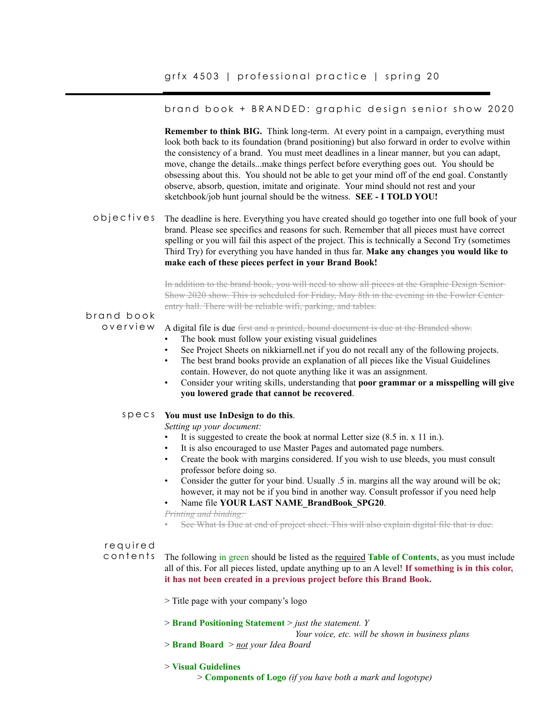#### brand book + BRANDED: graphic design senior show 2020

**Remember to think BIG.** Think long-term. At every point in a campaign, everything must look both back to its foundation (brand positioning) but also forward in order to evolve within the consistency of a brand. You must meet deadlines in a linear manner, but you can adapt, move, change the details...make things perfect before everything goes out. You should be obsessing about this. You should not be able to get your mind off of the end goal. Constantly observe, absorb, question, imitate and originate. Your mind should not rest and your sketchbook/job hunt journal should be the witness. **SEE - I TOLD YOU!** 

The deadline is here. Everything you have created should go together into one full book of your brand. Please see specifics and reasons for such. Remember that all pieces must have correct spelling or you will fail this aspect of the project. This is technically a Second Try (sometimes Third Try) for everything you have handed in thus far. **Make any changes you would like to make each of these pieces perfect in your Brand Book!** objectives

> In addition to the brand book, you will need to show all pieces at the Graphic Design Senior Show 2020 show. This is scheduled for Friday, May 8th in the evening in the Fowler Center entry hall. There will be reliable wifi, parking, and tables.

#### brand book overview

A digital file is due first and a printed, bound document is due at the Branded show.

- The book must follow your existing visual guidelines
- See Project Sheets on nikkiarnell.net if you do not recall any of the following projects.
- The best brand books provide an explanation of all pieces like the Visual Guidelines contain. However, do not quote anything like it was an assignment.
- Consider your writing skills, understanding that **poor grammar or a misspelling will give you lowered grade that cannot be recovered**.

#### **You must use InDesign to do this**. specs

*Setting up your document:* 

- It is suggested to create the book at normal Letter size  $(8.5 \text{ in. x } 11 \text{ in.})$ .
- It is also encouraged to use Master Pages and automated page numbers.
- Create the book with margins considered. If you wish to use bleeds, you must consult professor before doing so.
- Consider the gutter for your bind. Usually .5 in. margins all the way around will be ok; however, it may not be if you bind in another way. Consult professor if you need help
- Name file **YOUR LAST NAME\_BrandBook\_SPG20**.

*Printing and binding:* 

• See What Is Due at end of project sheet. This will also explain digital file that is due.

# required

contents

The following in green should be listed as the required **Table of Contents**, as you must include all of this. For all pieces listed, update anything up to an A level! **If something is in this color, it has not been created in a previous project before this Brand Book.**

- > Title page with your company's logo
- > **Brand Positioning Statement** > *just the statement. Y*

 *Your voice, etc. will be shown in business plans*

> **Brand Board** > *not your Idea Board*

#### > **Visual Guidelines**

> **Components of Logo** *(if you have both a mark and logotype)*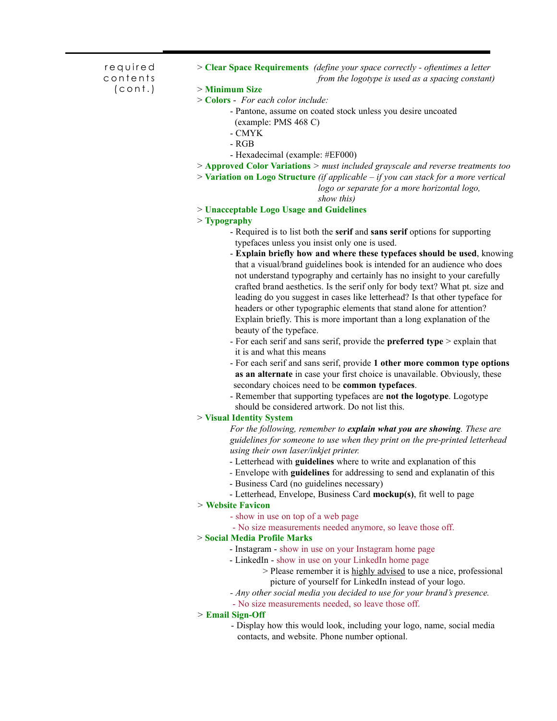required contents (cont.)

- > **Clear Space Requirements** *(define your space correctly oftentimes a letter from the logotype is used as a spacing constant)* > **Minimum Size** > **Colors** - *For each color include:*
	- Pantone, assume on coated stock unless you desire uncoated
	- (example: PMS 468 C)
	- CMYK
	- RGB
	- Hexadecimal (example: #EF000)
- > **Approved Color Variations** *> must included grayscale and reverse treatments too*
- > **Variation on Logo Structure** *(if applicable if you can stack for a more vertical*

 *logo or separate for a more horizontal logo,* 

 *show this)*

> **Unacceptable Logo Usage and Guidelines**

# > **Typography**

- Required is to list both the **serif** and **sans serif** options for supporting typefaces unless you insist only one is used.
- **Explain briefly how and where these typefaces should be used**, knowing that a visual/brand guidelines book is intended for an audience who does not understand typography and certainly has no insight to your carefully crafted brand aesthetics. Is the serif only for body text? What pt. size and leading do you suggest in cases like letterhead? Is that other typeface for headers or other typographic elements that stand alone for attention? Explain briefly. This is more important than a long explanation of the beauty of the typeface.
- For each serif and sans serif, provide the **preferred type** > explain that it is and what this means
- For each serif and sans serif, provide **1 other more common type options as an alternate** in case your first choice is unavailable. Obviously, these secondary choices need to be **common typefaces**.
- Remember that supporting typefaces are **not the logotype**. Logotype should be considered artwork. Do not list this.

# > **Visual Identity System**

*For the following, remember to explain what you are showing. These are*  *guidelines for someone to use when they print on the pre-printed letterhead*  *using their own laser/inkjet printer.* 

- Letterhead with **guidelines** where to write and explanation of this
- Envelope with **guidelines** for addressing to send and explanatin of this
- Business Card (no guidelines necessary)
- Letterhead, Envelope, Business Card **mockup(s)**, fit well to page

# *>* **Website Favicon**

- show in use on top of a web page
- No size measurements needed anymore, so leave those off.

# > **Social Media Profile Marks**

- Instagram show in use on your Instagram home page
- LinkedIn show in use on your LinkedIn home page
	- > Please remember it is highly advised to use a nice, professional picture of yourself for LinkedIn instead of your logo.
- *Any other social media you decided to use for your brand's presence.*
- No size measurements needed, so leave those off.

# *>* **Email Sign-Off**

 - Display how this would look, including your logo, name, social media contacts, and website. Phone number optional.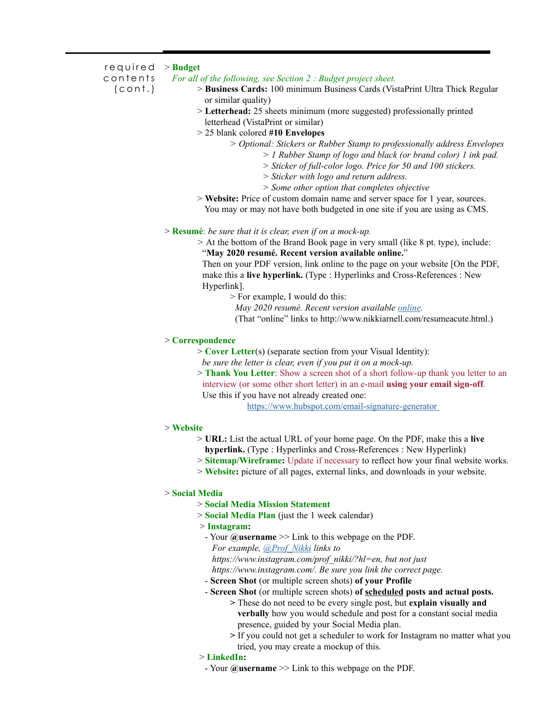| required<br>$>$ Budget<br>contents<br>For all of the following, see Section 2 : Budget project sheet.<br>(const.)<br>> Business Cards: 100 minimum Business Cards (VistaPrint Ultra Thick Regular<br>or similar quality)<br>> Letterhead: 25 sheets minimum (more suggested) professionally printed<br>letterhead (VistaPrint or similar)<br>> 25 blank colored #10 Envelopes<br>> Optional: Stickers or Rubber Stamp to professionally address Envelopes<br>$> 1$ Rubber Stamp of logo and black (or brand color) 1 ink pad.<br>$>$ Sticker of full-color logo. Price for 50 and 100 stickers.<br>> Sticker with logo and return address.<br>> Some other option that completes objective<br>> Website: Price of custom domain name and server space for 1 year, sources.<br>You may or may not have both budgeted in one site if you are using as CMS.<br>$>$ <b>Resumé</b> : be sure that it is clear, even if on a mock-up.<br>> At the bottom of the Brand Book page in very small (like 8 pt. type), include:<br>"May 2020 resumé. Recent version available online."<br>Then on your PDF version, link online to the page on your website [On the PDF,<br>make this a live hyperlink. (Type : Hyperlinks and Cross-References : New<br>Hyperlink].<br>> For example, I would do this:<br>May 2020 resumé. Recent version available online.<br>(That "online" links to http://www.nikkiarnell.com/resumeacute.html.)<br>$>$ Correspondence<br>$>$ Cover Letter(s) (separate section from your Visual Identity):<br>be sure the letter is clear, even if you put it on a mock-up.<br>> Thank You Letter: Show a screen shot of a short follow-up thank you letter to an<br>interview (or some other short letter) in an e-mail using your email sign-off.<br>Use this if you have not already created one:<br>https://www.hubspot.com/email-signature-generator<br>$>$ Website<br>> URL: List the actual URL of your home page. On the PDF, make this a live<br>hyperlink. (Type: Hyperlinks and Cross-References: New Hyperlink)<br>> Sitemap/Wireframe: Update if necessary to reflect how your final website works.<br>> Website: picture of all pages, external links, and downloads in your website.<br>> Social Media<br>> Social Media Mission Statement<br>$>$ Social Media Plan (just the 1 week calendar)<br>$>$ Instagram:<br>- Your $@$ <b>username</b> $\gg$ Link to this webpage on the PDF.<br>For example, @Prof Nikki links to<br>https://www.instagram.com/prof nikki/?hl=en, but not just<br>https://www.instagram.com/. Be sure you link the correct page.<br>- Screen Shot (or multiple screen shots) of your Profile<br>- Screen Shot (or multiple screen shots) of scheduled posts and actual posts.<br>> These do not need to be every single post, but explain visually and<br>verbally how you would schedule and post for a constant social media |  |  |
|----------------------------------------------------------------------------------------------------------------------------------------------------------------------------------------------------------------------------------------------------------------------------------------------------------------------------------------------------------------------------------------------------------------------------------------------------------------------------------------------------------------------------------------------------------------------------------------------------------------------------------------------------------------------------------------------------------------------------------------------------------------------------------------------------------------------------------------------------------------------------------------------------------------------------------------------------------------------------------------------------------------------------------------------------------------------------------------------------------------------------------------------------------------------------------------------------------------------------------------------------------------------------------------------------------------------------------------------------------------------------------------------------------------------------------------------------------------------------------------------------------------------------------------------------------------------------------------------------------------------------------------------------------------------------------------------------------------------------------------------------------------------------------------------------------------------------------------------------------------------------------------------------------------------------------------------------------------------------------------------------------------------------------------------------------------------------------------------------------------------------------------------------------------------------------------------------------------------------------------------------------------------------------------------------------------------------------------------------------------------------------------------------------------------------------------------------------------------------------------------------------------------------------------------------------------------------------------------------------------------------------------------------------------------------------------------------------------------------------------------------------------------------------------------------------------------------------------------------------------------------------|--|--|
|                                                                                                                                                                                                                                                                                                                                                                                                                                                                                                                                                                                                                                                                                                                                                                                                                                                                                                                                                                                                                                                                                                                                                                                                                                                                                                                                                                                                                                                                                                                                                                                                                                                                                                                                                                                                                                                                                                                                                                                                                                                                                                                                                                                                                                                                                                                                                                                                                                                                                                                                                                                                                                                                                                                                                                                                                                                                                  |  |  |
|                                                                                                                                                                                                                                                                                                                                                                                                                                                                                                                                                                                                                                                                                                                                                                                                                                                                                                                                                                                                                                                                                                                                                                                                                                                                                                                                                                                                                                                                                                                                                                                                                                                                                                                                                                                                                                                                                                                                                                                                                                                                                                                                                                                                                                                                                                                                                                                                                                                                                                                                                                                                                                                                                                                                                                                                                                                                                  |  |  |
|                                                                                                                                                                                                                                                                                                                                                                                                                                                                                                                                                                                                                                                                                                                                                                                                                                                                                                                                                                                                                                                                                                                                                                                                                                                                                                                                                                                                                                                                                                                                                                                                                                                                                                                                                                                                                                                                                                                                                                                                                                                                                                                                                                                                                                                                                                                                                                                                                                                                                                                                                                                                                                                                                                                                                                                                                                                                                  |  |  |
|                                                                                                                                                                                                                                                                                                                                                                                                                                                                                                                                                                                                                                                                                                                                                                                                                                                                                                                                                                                                                                                                                                                                                                                                                                                                                                                                                                                                                                                                                                                                                                                                                                                                                                                                                                                                                                                                                                                                                                                                                                                                                                                                                                                                                                                                                                                                                                                                                                                                                                                                                                                                                                                                                                                                                                                                                                                                                  |  |  |
|                                                                                                                                                                                                                                                                                                                                                                                                                                                                                                                                                                                                                                                                                                                                                                                                                                                                                                                                                                                                                                                                                                                                                                                                                                                                                                                                                                                                                                                                                                                                                                                                                                                                                                                                                                                                                                                                                                                                                                                                                                                                                                                                                                                                                                                                                                                                                                                                                                                                                                                                                                                                                                                                                                                                                                                                                                                                                  |  |  |
|                                                                                                                                                                                                                                                                                                                                                                                                                                                                                                                                                                                                                                                                                                                                                                                                                                                                                                                                                                                                                                                                                                                                                                                                                                                                                                                                                                                                                                                                                                                                                                                                                                                                                                                                                                                                                                                                                                                                                                                                                                                                                                                                                                                                                                                                                                                                                                                                                                                                                                                                                                                                                                                                                                                                                                                                                                                                                  |  |  |
|                                                                                                                                                                                                                                                                                                                                                                                                                                                                                                                                                                                                                                                                                                                                                                                                                                                                                                                                                                                                                                                                                                                                                                                                                                                                                                                                                                                                                                                                                                                                                                                                                                                                                                                                                                                                                                                                                                                                                                                                                                                                                                                                                                                                                                                                                                                                                                                                                                                                                                                                                                                                                                                                                                                                                                                                                                                                                  |  |  |
|                                                                                                                                                                                                                                                                                                                                                                                                                                                                                                                                                                                                                                                                                                                                                                                                                                                                                                                                                                                                                                                                                                                                                                                                                                                                                                                                                                                                                                                                                                                                                                                                                                                                                                                                                                                                                                                                                                                                                                                                                                                                                                                                                                                                                                                                                                                                                                                                                                                                                                                                                                                                                                                                                                                                                                                                                                                                                  |  |  |
|                                                                                                                                                                                                                                                                                                                                                                                                                                                                                                                                                                                                                                                                                                                                                                                                                                                                                                                                                                                                                                                                                                                                                                                                                                                                                                                                                                                                                                                                                                                                                                                                                                                                                                                                                                                                                                                                                                                                                                                                                                                                                                                                                                                                                                                                                                                                                                                                                                                                                                                                                                                                                                                                                                                                                                                                                                                                                  |  |  |
|                                                                                                                                                                                                                                                                                                                                                                                                                                                                                                                                                                                                                                                                                                                                                                                                                                                                                                                                                                                                                                                                                                                                                                                                                                                                                                                                                                                                                                                                                                                                                                                                                                                                                                                                                                                                                                                                                                                                                                                                                                                                                                                                                                                                                                                                                                                                                                                                                                                                                                                                                                                                                                                                                                                                                                                                                                                                                  |  |  |
|                                                                                                                                                                                                                                                                                                                                                                                                                                                                                                                                                                                                                                                                                                                                                                                                                                                                                                                                                                                                                                                                                                                                                                                                                                                                                                                                                                                                                                                                                                                                                                                                                                                                                                                                                                                                                                                                                                                                                                                                                                                                                                                                                                                                                                                                                                                                                                                                                                                                                                                                                                                                                                                                                                                                                                                                                                                                                  |  |  |
|                                                                                                                                                                                                                                                                                                                                                                                                                                                                                                                                                                                                                                                                                                                                                                                                                                                                                                                                                                                                                                                                                                                                                                                                                                                                                                                                                                                                                                                                                                                                                                                                                                                                                                                                                                                                                                                                                                                                                                                                                                                                                                                                                                                                                                                                                                                                                                                                                                                                                                                                                                                                                                                                                                                                                                                                                                                                                  |  |  |
|                                                                                                                                                                                                                                                                                                                                                                                                                                                                                                                                                                                                                                                                                                                                                                                                                                                                                                                                                                                                                                                                                                                                                                                                                                                                                                                                                                                                                                                                                                                                                                                                                                                                                                                                                                                                                                                                                                                                                                                                                                                                                                                                                                                                                                                                                                                                                                                                                                                                                                                                                                                                                                                                                                                                                                                                                                                                                  |  |  |
|                                                                                                                                                                                                                                                                                                                                                                                                                                                                                                                                                                                                                                                                                                                                                                                                                                                                                                                                                                                                                                                                                                                                                                                                                                                                                                                                                                                                                                                                                                                                                                                                                                                                                                                                                                                                                                                                                                                                                                                                                                                                                                                                                                                                                                                                                                                                                                                                                                                                                                                                                                                                                                                                                                                                                                                                                                                                                  |  |  |
|                                                                                                                                                                                                                                                                                                                                                                                                                                                                                                                                                                                                                                                                                                                                                                                                                                                                                                                                                                                                                                                                                                                                                                                                                                                                                                                                                                                                                                                                                                                                                                                                                                                                                                                                                                                                                                                                                                                                                                                                                                                                                                                                                                                                                                                                                                                                                                                                                                                                                                                                                                                                                                                                                                                                                                                                                                                                                  |  |  |
|                                                                                                                                                                                                                                                                                                                                                                                                                                                                                                                                                                                                                                                                                                                                                                                                                                                                                                                                                                                                                                                                                                                                                                                                                                                                                                                                                                                                                                                                                                                                                                                                                                                                                                                                                                                                                                                                                                                                                                                                                                                                                                                                                                                                                                                                                                                                                                                                                                                                                                                                                                                                                                                                                                                                                                                                                                                                                  |  |  |
|                                                                                                                                                                                                                                                                                                                                                                                                                                                                                                                                                                                                                                                                                                                                                                                                                                                                                                                                                                                                                                                                                                                                                                                                                                                                                                                                                                                                                                                                                                                                                                                                                                                                                                                                                                                                                                                                                                                                                                                                                                                                                                                                                                                                                                                                                                                                                                                                                                                                                                                                                                                                                                                                                                                                                                                                                                                                                  |  |  |
|                                                                                                                                                                                                                                                                                                                                                                                                                                                                                                                                                                                                                                                                                                                                                                                                                                                                                                                                                                                                                                                                                                                                                                                                                                                                                                                                                                                                                                                                                                                                                                                                                                                                                                                                                                                                                                                                                                                                                                                                                                                                                                                                                                                                                                                                                                                                                                                                                                                                                                                                                                                                                                                                                                                                                                                                                                                                                  |  |  |
|                                                                                                                                                                                                                                                                                                                                                                                                                                                                                                                                                                                                                                                                                                                                                                                                                                                                                                                                                                                                                                                                                                                                                                                                                                                                                                                                                                                                                                                                                                                                                                                                                                                                                                                                                                                                                                                                                                                                                                                                                                                                                                                                                                                                                                                                                                                                                                                                                                                                                                                                                                                                                                                                                                                                                                                                                                                                                  |  |  |
|                                                                                                                                                                                                                                                                                                                                                                                                                                                                                                                                                                                                                                                                                                                                                                                                                                                                                                                                                                                                                                                                                                                                                                                                                                                                                                                                                                                                                                                                                                                                                                                                                                                                                                                                                                                                                                                                                                                                                                                                                                                                                                                                                                                                                                                                                                                                                                                                                                                                                                                                                                                                                                                                                                                                                                                                                                                                                  |  |  |
|                                                                                                                                                                                                                                                                                                                                                                                                                                                                                                                                                                                                                                                                                                                                                                                                                                                                                                                                                                                                                                                                                                                                                                                                                                                                                                                                                                                                                                                                                                                                                                                                                                                                                                                                                                                                                                                                                                                                                                                                                                                                                                                                                                                                                                                                                                                                                                                                                                                                                                                                                                                                                                                                                                                                                                                                                                                                                  |  |  |
|                                                                                                                                                                                                                                                                                                                                                                                                                                                                                                                                                                                                                                                                                                                                                                                                                                                                                                                                                                                                                                                                                                                                                                                                                                                                                                                                                                                                                                                                                                                                                                                                                                                                                                                                                                                                                                                                                                                                                                                                                                                                                                                                                                                                                                                                                                                                                                                                                                                                                                                                                                                                                                                                                                                                                                                                                                                                                  |  |  |
|                                                                                                                                                                                                                                                                                                                                                                                                                                                                                                                                                                                                                                                                                                                                                                                                                                                                                                                                                                                                                                                                                                                                                                                                                                                                                                                                                                                                                                                                                                                                                                                                                                                                                                                                                                                                                                                                                                                                                                                                                                                                                                                                                                                                                                                                                                                                                                                                                                                                                                                                                                                                                                                                                                                                                                                                                                                                                  |  |  |
|                                                                                                                                                                                                                                                                                                                                                                                                                                                                                                                                                                                                                                                                                                                                                                                                                                                                                                                                                                                                                                                                                                                                                                                                                                                                                                                                                                                                                                                                                                                                                                                                                                                                                                                                                                                                                                                                                                                                                                                                                                                                                                                                                                                                                                                                                                                                                                                                                                                                                                                                                                                                                                                                                                                                                                                                                                                                                  |  |  |
|                                                                                                                                                                                                                                                                                                                                                                                                                                                                                                                                                                                                                                                                                                                                                                                                                                                                                                                                                                                                                                                                                                                                                                                                                                                                                                                                                                                                                                                                                                                                                                                                                                                                                                                                                                                                                                                                                                                                                                                                                                                                                                                                                                                                                                                                                                                                                                                                                                                                                                                                                                                                                                                                                                                                                                                                                                                                                  |  |  |
|                                                                                                                                                                                                                                                                                                                                                                                                                                                                                                                                                                                                                                                                                                                                                                                                                                                                                                                                                                                                                                                                                                                                                                                                                                                                                                                                                                                                                                                                                                                                                                                                                                                                                                                                                                                                                                                                                                                                                                                                                                                                                                                                                                                                                                                                                                                                                                                                                                                                                                                                                                                                                                                                                                                                                                                                                                                                                  |  |  |
|                                                                                                                                                                                                                                                                                                                                                                                                                                                                                                                                                                                                                                                                                                                                                                                                                                                                                                                                                                                                                                                                                                                                                                                                                                                                                                                                                                                                                                                                                                                                                                                                                                                                                                                                                                                                                                                                                                                                                                                                                                                                                                                                                                                                                                                                                                                                                                                                                                                                                                                                                                                                                                                                                                                                                                                                                                                                                  |  |  |
|                                                                                                                                                                                                                                                                                                                                                                                                                                                                                                                                                                                                                                                                                                                                                                                                                                                                                                                                                                                                                                                                                                                                                                                                                                                                                                                                                                                                                                                                                                                                                                                                                                                                                                                                                                                                                                                                                                                                                                                                                                                                                                                                                                                                                                                                                                                                                                                                                                                                                                                                                                                                                                                                                                                                                                                                                                                                                  |  |  |
|                                                                                                                                                                                                                                                                                                                                                                                                                                                                                                                                                                                                                                                                                                                                                                                                                                                                                                                                                                                                                                                                                                                                                                                                                                                                                                                                                                                                                                                                                                                                                                                                                                                                                                                                                                                                                                                                                                                                                                                                                                                                                                                                                                                                                                                                                                                                                                                                                                                                                                                                                                                                                                                                                                                                                                                                                                                                                  |  |  |
|                                                                                                                                                                                                                                                                                                                                                                                                                                                                                                                                                                                                                                                                                                                                                                                                                                                                                                                                                                                                                                                                                                                                                                                                                                                                                                                                                                                                                                                                                                                                                                                                                                                                                                                                                                                                                                                                                                                                                                                                                                                                                                                                                                                                                                                                                                                                                                                                                                                                                                                                                                                                                                                                                                                                                                                                                                                                                  |  |  |
|                                                                                                                                                                                                                                                                                                                                                                                                                                                                                                                                                                                                                                                                                                                                                                                                                                                                                                                                                                                                                                                                                                                                                                                                                                                                                                                                                                                                                                                                                                                                                                                                                                                                                                                                                                                                                                                                                                                                                                                                                                                                                                                                                                                                                                                                                                                                                                                                                                                                                                                                                                                                                                                                                                                                                                                                                                                                                  |  |  |
|                                                                                                                                                                                                                                                                                                                                                                                                                                                                                                                                                                                                                                                                                                                                                                                                                                                                                                                                                                                                                                                                                                                                                                                                                                                                                                                                                                                                                                                                                                                                                                                                                                                                                                                                                                                                                                                                                                                                                                                                                                                                                                                                                                                                                                                                                                                                                                                                                                                                                                                                                                                                                                                                                                                                                                                                                                                                                  |  |  |
|                                                                                                                                                                                                                                                                                                                                                                                                                                                                                                                                                                                                                                                                                                                                                                                                                                                                                                                                                                                                                                                                                                                                                                                                                                                                                                                                                                                                                                                                                                                                                                                                                                                                                                                                                                                                                                                                                                                                                                                                                                                                                                                                                                                                                                                                                                                                                                                                                                                                                                                                                                                                                                                                                                                                                                                                                                                                                  |  |  |
|                                                                                                                                                                                                                                                                                                                                                                                                                                                                                                                                                                                                                                                                                                                                                                                                                                                                                                                                                                                                                                                                                                                                                                                                                                                                                                                                                                                                                                                                                                                                                                                                                                                                                                                                                                                                                                                                                                                                                                                                                                                                                                                                                                                                                                                                                                                                                                                                                                                                                                                                                                                                                                                                                                                                                                                                                                                                                  |  |  |
|                                                                                                                                                                                                                                                                                                                                                                                                                                                                                                                                                                                                                                                                                                                                                                                                                                                                                                                                                                                                                                                                                                                                                                                                                                                                                                                                                                                                                                                                                                                                                                                                                                                                                                                                                                                                                                                                                                                                                                                                                                                                                                                                                                                                                                                                                                                                                                                                                                                                                                                                                                                                                                                                                                                                                                                                                                                                                  |  |  |
|                                                                                                                                                                                                                                                                                                                                                                                                                                                                                                                                                                                                                                                                                                                                                                                                                                                                                                                                                                                                                                                                                                                                                                                                                                                                                                                                                                                                                                                                                                                                                                                                                                                                                                                                                                                                                                                                                                                                                                                                                                                                                                                                                                                                                                                                                                                                                                                                                                                                                                                                                                                                                                                                                                                                                                                                                                                                                  |  |  |
|                                                                                                                                                                                                                                                                                                                                                                                                                                                                                                                                                                                                                                                                                                                                                                                                                                                                                                                                                                                                                                                                                                                                                                                                                                                                                                                                                                                                                                                                                                                                                                                                                                                                                                                                                                                                                                                                                                                                                                                                                                                                                                                                                                                                                                                                                                                                                                                                                                                                                                                                                                                                                                                                                                                                                                                                                                                                                  |  |  |
|                                                                                                                                                                                                                                                                                                                                                                                                                                                                                                                                                                                                                                                                                                                                                                                                                                                                                                                                                                                                                                                                                                                                                                                                                                                                                                                                                                                                                                                                                                                                                                                                                                                                                                                                                                                                                                                                                                                                                                                                                                                                                                                                                                                                                                                                                                                                                                                                                                                                                                                                                                                                                                                                                                                                                                                                                                                                                  |  |  |
|                                                                                                                                                                                                                                                                                                                                                                                                                                                                                                                                                                                                                                                                                                                                                                                                                                                                                                                                                                                                                                                                                                                                                                                                                                                                                                                                                                                                                                                                                                                                                                                                                                                                                                                                                                                                                                                                                                                                                                                                                                                                                                                                                                                                                                                                                                                                                                                                                                                                                                                                                                                                                                                                                                                                                                                                                                                                                  |  |  |
|                                                                                                                                                                                                                                                                                                                                                                                                                                                                                                                                                                                                                                                                                                                                                                                                                                                                                                                                                                                                                                                                                                                                                                                                                                                                                                                                                                                                                                                                                                                                                                                                                                                                                                                                                                                                                                                                                                                                                                                                                                                                                                                                                                                                                                                                                                                                                                                                                                                                                                                                                                                                                                                                                                                                                                                                                                                                                  |  |  |
|                                                                                                                                                                                                                                                                                                                                                                                                                                                                                                                                                                                                                                                                                                                                                                                                                                                                                                                                                                                                                                                                                                                                                                                                                                                                                                                                                                                                                                                                                                                                                                                                                                                                                                                                                                                                                                                                                                                                                                                                                                                                                                                                                                                                                                                                                                                                                                                                                                                                                                                                                                                                                                                                                                                                                                                                                                                                                  |  |  |
|                                                                                                                                                                                                                                                                                                                                                                                                                                                                                                                                                                                                                                                                                                                                                                                                                                                                                                                                                                                                                                                                                                                                                                                                                                                                                                                                                                                                                                                                                                                                                                                                                                                                                                                                                                                                                                                                                                                                                                                                                                                                                                                                                                                                                                                                                                                                                                                                                                                                                                                                                                                                                                                                                                                                                                                                                                                                                  |  |  |
|                                                                                                                                                                                                                                                                                                                                                                                                                                                                                                                                                                                                                                                                                                                                                                                                                                                                                                                                                                                                                                                                                                                                                                                                                                                                                                                                                                                                                                                                                                                                                                                                                                                                                                                                                                                                                                                                                                                                                                                                                                                                                                                                                                                                                                                                                                                                                                                                                                                                                                                                                                                                                                                                                                                                                                                                                                                                                  |  |  |
|                                                                                                                                                                                                                                                                                                                                                                                                                                                                                                                                                                                                                                                                                                                                                                                                                                                                                                                                                                                                                                                                                                                                                                                                                                                                                                                                                                                                                                                                                                                                                                                                                                                                                                                                                                                                                                                                                                                                                                                                                                                                                                                                                                                                                                                                                                                                                                                                                                                                                                                                                                                                                                                                                                                                                                                                                                                                                  |  |  |
|                                                                                                                                                                                                                                                                                                                                                                                                                                                                                                                                                                                                                                                                                                                                                                                                                                                                                                                                                                                                                                                                                                                                                                                                                                                                                                                                                                                                                                                                                                                                                                                                                                                                                                                                                                                                                                                                                                                                                                                                                                                                                                                                                                                                                                                                                                                                                                                                                                                                                                                                                                                                                                                                                                                                                                                                                                                                                  |  |  |
|                                                                                                                                                                                                                                                                                                                                                                                                                                                                                                                                                                                                                                                                                                                                                                                                                                                                                                                                                                                                                                                                                                                                                                                                                                                                                                                                                                                                                                                                                                                                                                                                                                                                                                                                                                                                                                                                                                                                                                                                                                                                                                                                                                                                                                                                                                                                                                                                                                                                                                                                                                                                                                                                                                                                                                                                                                                                                  |  |  |
| presence, guided by your Social Media plan.                                                                                                                                                                                                                                                                                                                                                                                                                                                                                                                                                                                                                                                                                                                                                                                                                                                                                                                                                                                                                                                                                                                                                                                                                                                                                                                                                                                                                                                                                                                                                                                                                                                                                                                                                                                                                                                                                                                                                                                                                                                                                                                                                                                                                                                                                                                                                                                                                                                                                                                                                                                                                                                                                                                                                                                                                                      |  |  |

- **>** If you could not get a scheduler to work for Instagram no matter what you tried, you may create a mockup of this.
	- > **LinkedIn:**
		- Your **@username** >> Link to this webpage on the PDF.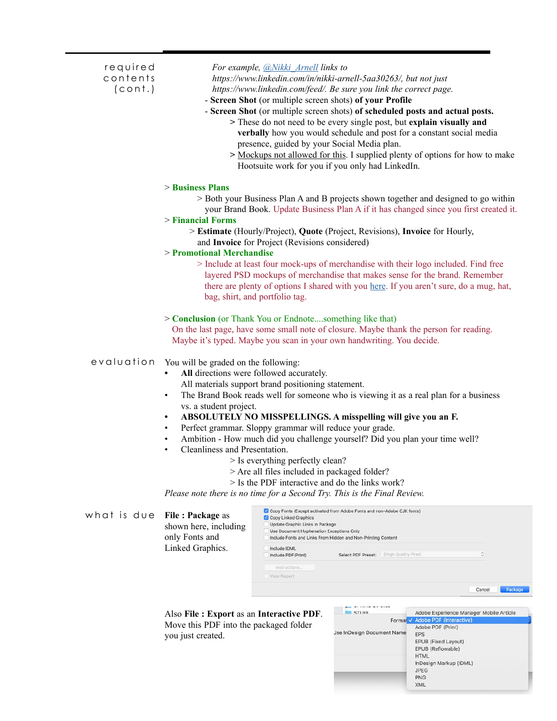| required<br>contents<br>$($ cont. $)$ |                                                                                                                                          | For example, @Nikki_Arnell links to<br>https://www.linkedin.com/in/nikki-arnell-5aa30263/, but not just<br>https://www.linkedin.com/feed/. Be sure you link the correct page.<br>- Screen Shot (or multiple screen shots) of your Profile<br>- Screen Shot (or multiple screen shots) of scheduled posts and actual posts.<br>> These do not need to be every single post, but explain visually and<br>verbally how you would schedule and post for a constant social media<br>presence, guided by your Social Media plan.<br>> Mockups not allowed for this. I supplied plenty of options for how to make<br>Hootsuite work for you if you only had LinkedIn. |
|---------------------------------------|------------------------------------------------------------------------------------------------------------------------------------------|----------------------------------------------------------------------------------------------------------------------------------------------------------------------------------------------------------------------------------------------------------------------------------------------------------------------------------------------------------------------------------------------------------------------------------------------------------------------------------------------------------------------------------------------------------------------------------------------------------------------------------------------------------------|
|                                       | > Business Plans<br>> Financial Forms<br>> Promotional Merchandise                                                                       | > Both your Business Plan A and B projects shown together and designed to go within<br>your Brand Book. Update Business Plan A if it has changed since you first created it.<br>> Estimate (Hourly/Project), Quote (Project, Revisions), Invoice for Hourly,<br>and Invoice for Project (Revisions considered)<br>> Include at least four mock-ups of merchandise with their logo included. Find free<br>layered PSD mockups of merchandise that makes sense for the brand. Remember<br>there are plenty of options I shared with you here. If you aren't sure, do a mug, hat,<br>bag, shirt, and portfolio tag.                                               |
|                                       |                                                                                                                                          | > Conclusion (or Thank You or Endnotesomething like that)<br>On the last page, have some small note of closure. Maybe thank the person for reading.<br>Maybe it's typed. Maybe you scan in your own handwriting. You decide.                                                                                                                                                                                                                                                                                                                                                                                                                                   |
| evaluation                            | You will be graded on the following:<br>$\bullet$<br>$\bullet$<br>vs. a student project.<br>٠<br>٠<br>٠<br>Cleanliness and Presentation. | All directions were followed accurately.<br>All materials support brand positioning statement.<br>The Brand Book reads well for someone who is viewing it as a real plan for a business<br>ABSOLUTELY NO MISSPELLINGS. A misspelling will give you an F.<br>Perfect grammar. Sloppy grammar will reduce your grade.<br>Ambition - How much did you challenge yourself? Did you plan your time well?<br>> Is everything perfectly clean?<br>> Are all files included in packaged folder?<br>> Is the PDF interactive and do the links work?<br>Please note there is no time for a Second Try. This is the Final Review.                                         |
| what is due                           | File: Package as<br>shown here, including<br>only Fonts and<br>Linked Graphics.                                                          | Copy Fonts (Except activated from Adobe Fonts and non-Adobe CJK fonts)<br>Copy Linked Graphics<br>Update Graphic Links In Package<br>Use Document Hyphenation Exceptions Only<br>Include Fonts and Links From Hidden and Non-Printing Content<br>Include IDML<br>ö<br>[High Quality Print]<br>Include PDF(Print)<br>Select PDF Preset:<br>Instructions.<br>View Report<br>Package<br>Cancel                                                                                                                                                                                                                                                                    |

Also **File : Export** as an **Interactive PDF**. Move this PDF into the packaged folder you just created.

| <b>STUFF</b>               | Adobe Experience Manager Mobile Article |
|----------------------------|-----------------------------------------|
|                            | Format V Adobe PDF (Interactive)        |
|                            | Adobe PDF (Print)                       |
| Jse InDesign Document Name | <b>EPS</b>                              |
|                            | EPUB (Fixed Layout)                     |
|                            | EPUB (Reflowable)                       |
|                            | <b>HTML</b>                             |
|                            | InDesign Markup (IDML)                  |
|                            | <b>JPEG</b>                             |
|                            | <b>PNG</b>                              |
|                            | <b>XML</b>                              |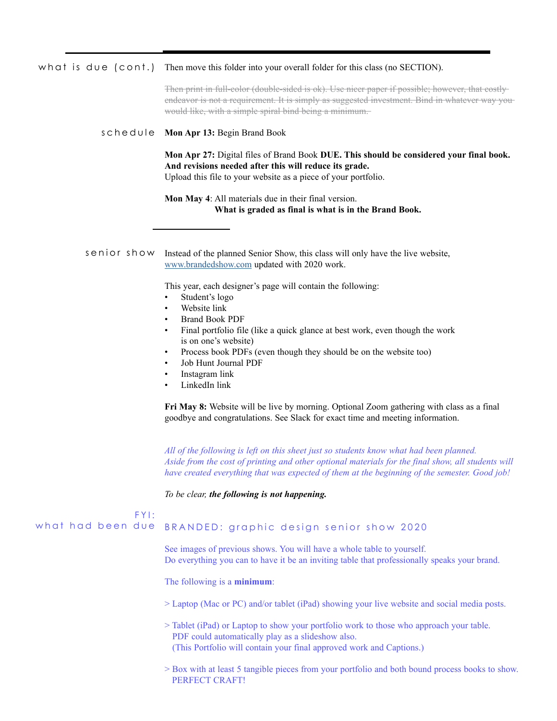#### Then move this folder into your overall folder for this class (no SECTION). what is due (cont.)

Then print in full-color (double-sided is ok). Use nicer paper if possible; however, that costly endeavor is not a requirement. It is simply as suggested investment. Bind in whatever way you would like, with a simple spiral bind being a minimum.

#### schedule Mon Apr 13: Begin Brand Book

**Mon Apr 27:** Digital files of Brand Book **DUE. This should be considered your final book. And revisions needed after this will reduce its grade.**  Upload this file to your website as a piece of your portfolio.

**Mon May 4**: All materials due in their final version. **What is graded as final is what is in the Brand Book.**

Instead of the planned Senior Show, this class will only have the live website, [www.brandedshow.com](http://www.brandedshow.com/) updated with 2020 work. senior show

This year, each designer's page will contain the following:

- Student's logo
- Website link
- Brand Book PDF
- Final portfolio file (like a quick glance at best work, even though the work is on one's website)
- Process book PDFs (even though they should be on the website too)
- Job Hunt Journal PDF
- Instagram link
- LinkedIn link

**Fri May 8:** Website will be live by morning. Optional Zoom gathering with class as a final goodbye and congratulations. See Slack for exact time and meeting information.

*All of the following is left on this sheet just so students know what had been planned. Aside from the cost of printing and other optional materials for the final show, all students will have created everything that was expected of them at the beginning of the semester. Good job!*

*To be clear, the following is not happening.* 

#### BRANDED: graphic design senior show 2020 See images of previous shows. You will have a whole table to yourself. FYI: what had been due

Do everything you can to have it be an inviting table that professionally speaks your brand.

The following is a **minimum**:

> Laptop (Mac or PC) and/or tablet (iPad) showing your live website and social media posts.

> Tablet (iPad) or Laptop to show your portfolio work to those who approach your table. PDF could automatically play as a slideshow also. (This Portfolio will contain your final approved work and Captions.)

> Box with at least 5 tangible pieces from your portfolio and both bound process books to show. PERFECT CRAFT!